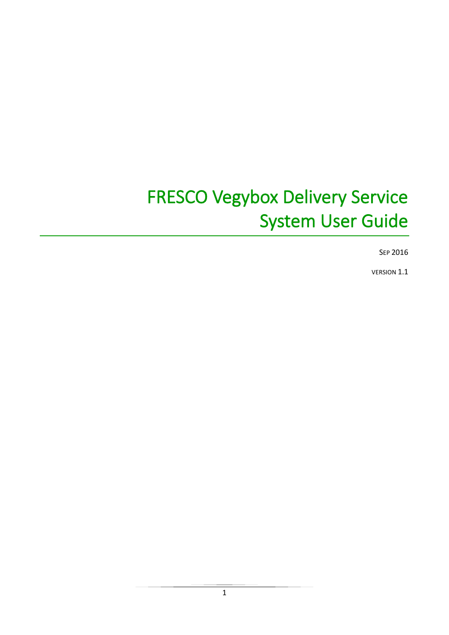# **FRESCO Vegybox Delivery Service System User Guide**

SEP 2016

**VERSION 1.1**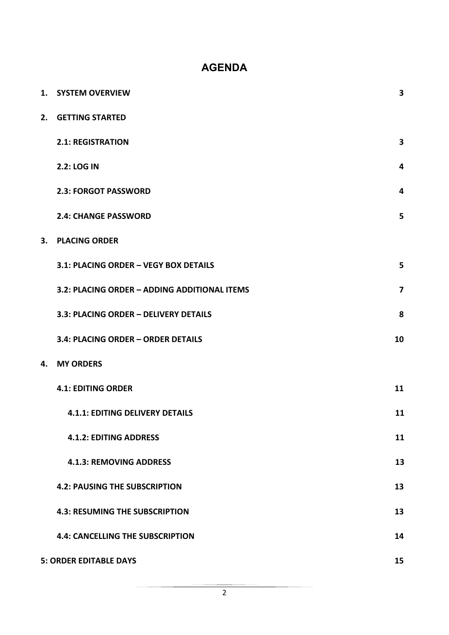## **AGENDA**

| 1. | <b>SYSTEM OVERVIEW</b>                       | 3                       |
|----|----------------------------------------------|-------------------------|
| 2. | <b>GETTING STARTED</b>                       |                         |
|    | <b>2.1: REGISTRATION</b>                     | $\overline{\mathbf{3}}$ |
|    | 2.2: LOG IN                                  | 4                       |
|    | <b>2.3: FORGOT PASSWORD</b>                  | 4                       |
|    | <b>2.4: CHANGE PASSWORD</b>                  | 5                       |
| 3. | <b>PLACING ORDER</b>                         |                         |
|    | 3.1: PLACING ORDER - VEGY BOX DETAILS        | 5                       |
|    | 3.2: PLACING ORDER - ADDING ADDITIONAL ITEMS | $\overline{7}$          |
|    | 3.3: PLACING ORDER - DELIVERY DETAILS        | 8                       |
|    | 3.4: PLACING ORDER - ORDER DETAILS           | 10                      |
| 4. | <b>MY ORDERS</b>                             |                         |
|    | <b>4.1: EDITING ORDER</b>                    | 11                      |
|    | <b>4.1.1: EDITING DELIVERY DETAILS</b>       | 11                      |
|    | <b>4.1.2: EDITING ADDRESS</b>                | 11                      |
|    | <b>4.1.3: REMOVING ADDRESS</b>               | 13                      |
|    | <b>4.2: PAUSING THE SUBSCRIPTION</b>         | 13                      |
|    | <b>4.3: RESUMING THE SUBSCRIPTION</b>        | 13                      |
|    | <b>4.4: CANCELLING THE SUBSCRIPTION</b>      | 14                      |
|    | <b>5: ORDER EDITABLE DAYS</b>                | 15                      |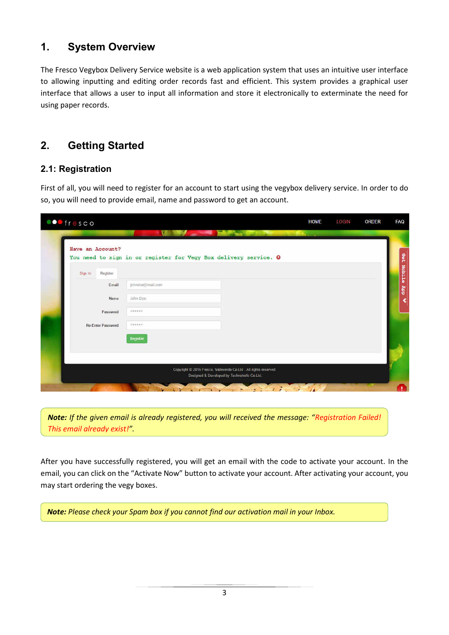# **1. System Overview**

The Fresco Vegybox Delivery Service website is a web application system that uses an intuitive user interface to allowing inputting and editing order records fast and efficient. This system provides a graphical user interface that allows a user to input all information and store it electronically to exterminate the need for using paper records.

# **2. Getting Started**

#### **2.1: Registration**

First of all, you will need to register for an account to start using the vegybox delivery service. In order to do so, you will need to provide email, name and password to get an account.

| Have an Account?         | You need to sign in or register for Vegy Box delivery service. O |  |
|--------------------------|------------------------------------------------------------------|--|
| Register<br>Sign In      |                                                                  |  |
| Email                    | johndoe@mail.com                                                 |  |
| Name.                    | John Doe                                                         |  |
| Password                 | 米津市市場所                                                           |  |
| <b>Re-Enter Password</b> | <b>WANNER</b>                                                    |  |
|                          | Register                                                         |  |
|                          |                                                                  |  |

*Note:* If the given email is already registered, you will received the message: "Registration Failed! *This email already exist!͟.* 

After you have successfully registered, you will get an email with the code to activate your account. In the email, you can click on the "Activate Now" button to activate your account. After activating your account, you may start ordering the vegy boxes.

*Note: Please check your Spam box if you cannot find our activation mail in your Inbox.*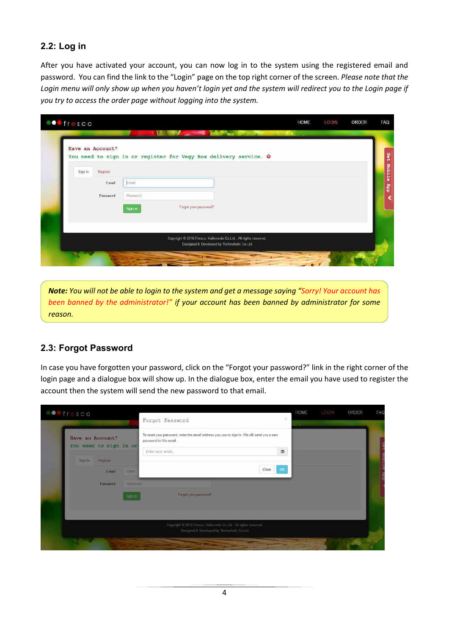### 2.2: Log in

After you have activated your account, you can now log in to the system using the registered email and password. You can find the link to the "Login" page on the top right corner of the screen. Please note that the Login menu will only show up when you haven't login yet and the system will redirect you to the Login page if you try to access the order page without logging into the system.

|                      | You need to sign in or register for Vegy Box delivery service. O |  |
|----------------------|------------------------------------------------------------------|--|
| Register             |                                                                  |  |
| Email<br>Email       |                                                                  |  |
| Password<br>Password |                                                                  |  |
| Sign in              | Forgot your password?                                            |  |
|                      |                                                                  |  |
|                      |                                                                  |  |

Note: You will not be able to login to the system and get a message saying "Sorry! Your account has been banned by the administrator!" if your account has been banned by administrator for some reason.

#### 2.3: Forgot Password

In case you have forgotten your password, click on the "Forgot your password?" link in the right corner of the login page and a dialogue box will show up. In the dialogue box, enter the email you have used to register the account then the system will send the new password to that email.

|                                            |                                | Forgot Password                                                                                                       | ×           |  |  |
|--------------------------------------------|--------------------------------|-----------------------------------------------------------------------------------------------------------------------|-------------|--|--|
| Have an Account?<br>You need to sign in or |                                | To reset your password, enter the email address you use to sign in. We will send you a new<br>password to this email. |             |  |  |
|                                            |                                | Enter your email                                                                                                      | ø           |  |  |
| Sign In                                    | Register                       |                                                                                                                       |             |  |  |
|                                            | <b>Linait</b><br><b>Hittan</b> | Close:                                                                                                                | $_{\rm OR}$ |  |  |
|                                            | <b>Pursword</b><br>Fassword    |                                                                                                                       |             |  |  |
|                                            | Slott th                       | Forgot your password?                                                                                                 |             |  |  |
|                                            |                                |                                                                                                                       |             |  |  |
|                                            |                                | Copyright @ 2016 Fresco, Valloverde Co.Ltd., All rights neervod.                                                      |             |  |  |
|                                            |                                | Designed & Developed by Technologic Co Ltd.                                                                           |             |  |  |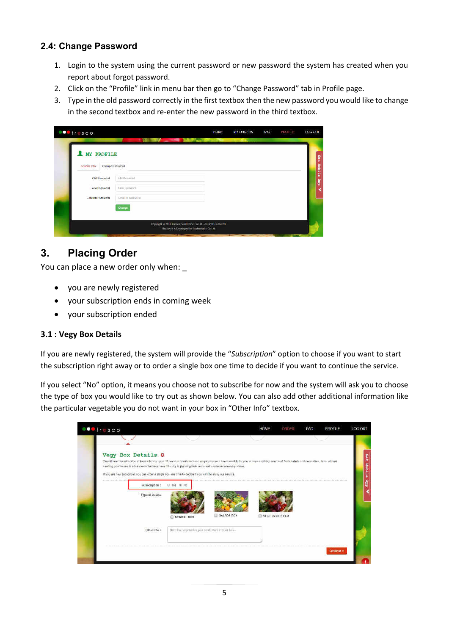## 2.4: Change Password

- 1. Login to the system using the current password or new password the system has created when you report about forgot password.
- 2. Click on the "Profile" link in menu bar then go to "Change Password" tab in Profile page.
- 3. Type in the old password correctly in the first textbox then the new password you would like to change in the second textbox and re-enter the new password in the third textbox.

| <b>OO</b> fresco                              |                                  | <b>HOME</b>                                                                                                      | <b>MY ORDERS</b> | FAQ | PROFILE | LOG OUT    |
|-----------------------------------------------|----------------------------------|------------------------------------------------------------------------------------------------------------------|------------------|-----|---------|------------|
| MY PROFILE<br>Contact Info<br>Change Password |                                  | <b>The State of Street</b>                                                                                       |                  |     |         | Ω<br>π     |
| Old Password                                  | The Passwind.                    |                                                                                                                  |                  |     |         | Mobile App |
| New Password<br>Contirm Password              | Hew Password<br>Confirm Password |                                                                                                                  |                  |     |         |            |
|                                               | Chillips <sub>2</sub>            |                                                                                                                  |                  |     |         |            |
|                                               |                                  | Copyright @ 2016 Frasco, Valievende Co Ltd., All rights reserved.<br>Hasigned & Unveraped by Technologic Co.11d. |                  |     |         |            |

#### $3<sub>1</sub>$ **Placing Order**

You can place a new order only when:

- you are newly registered
- your subscription ends in coming week  $\bullet$
- your subscription ended

#### 3.1 : Vegy Box Details

If you are newly registered, the system will provide the "Subscription" option to choose if you want to start the subscription right away or to order a single box one time to decide if you want to continue the service.

If you select "No" option, it means you choose not to subscribe for now and the system will ask you to choose the type of box you would like to try out as shown below. You can also add other additional information like the particular vegetable you do not want in your box in "Other Info" textbox.

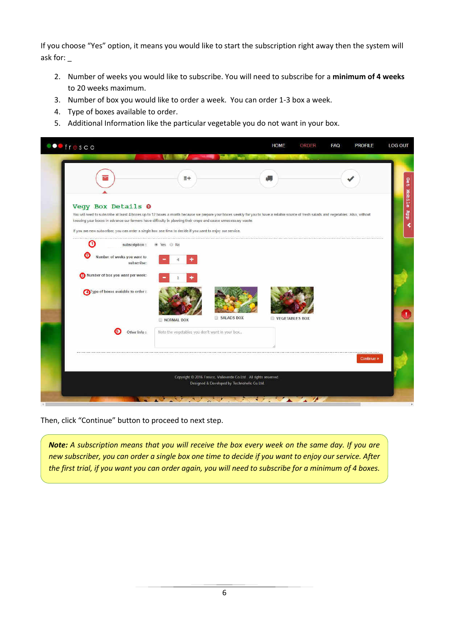If you choose "Yes" option, it means you would like to start the subscription right away then the system will ask for: \_

- 2. Number of weeks you would like to subscribe. You will need to subscribe for a **minimum of 4 weeks** to 20 weeks maximum.
- 3. Number of box you would like to order a week. You can order 1-3 box a week.
- 4. Type of boxes available to order.
- 5. Additional Information like the particular vegetable you do not want in your box.

| <b>OO</b> fresco                                                                                                                                                                                                                                                                                                                                                                                                                              |                                                |                                                                                                                 | <b>HOME</b>           | ORDER | <b>FAQ</b> | <b>PROFILE</b> |
|-----------------------------------------------------------------------------------------------------------------------------------------------------------------------------------------------------------------------------------------------------------------------------------------------------------------------------------------------------------------------------------------------------------------------------------------------|------------------------------------------------|-----------------------------------------------------------------------------------------------------------------|-----------------------|-------|------------|----------------|
|                                                                                                                                                                                                                                                                                                                                                                                                                                               | $E +$                                          |                                                                                                                 | 60                    |       |            |                |
| Vegy Box Details O<br>You will need to subscribe at least 4 boxes up to 12 boxes a month because we prepare your boxes weekly for you to have a reliable source of fresh salads and vegetables. Also, without<br>knowing your boxes in advance our farmers have difficulty in planning their crops and cause unnecessary waste.<br>If you are new subscriber, you can order a single box one time to decide if you want to enjoy our service. |                                                |                                                                                                                 |                       |       |            |                |
| Ο<br>subscription:                                                                                                                                                                                                                                                                                                                                                                                                                            | Wes O No                                       |                                                                                                                 |                       |       |            |                |
| Number of weeks you want to<br>subscribe:                                                                                                                                                                                                                                                                                                                                                                                                     |                                                |                                                                                                                 |                       |       |            |                |
| 3 Number of box you want per week:                                                                                                                                                                                                                                                                                                                                                                                                            |                                                |                                                                                                                 |                       |       |            |                |
| Type of boxes avaiable to order :                                                                                                                                                                                                                                                                                                                                                                                                             | NORMAL BOX                                     | SALADS BOX                                                                                                      | <b>VEGETABLES BOX</b> |       |            |                |
| Other Info:                                                                                                                                                                                                                                                                                                                                                                                                                                   | Note the vegetables you don't want in your box |                                                                                                                 |                       |       |            |                |
|                                                                                                                                                                                                                                                                                                                                                                                                                                               |                                                |                                                                                                                 |                       |       |            | Continue »     |
|                                                                                                                                                                                                                                                                                                                                                                                                                                               |                                                | Copyright © 2016 Fresco, Valleverde Co.Ltd. All rights reserved.<br>Designed & Developed by Technoholic Co.Ltd. |                       |       |            |                |

Then, click "Continue" button to proceed to next step.

*Note: A subscription means that you will receive the box every week on the same day. If you are new subscriber, you can order a single box one time to decide if you want to enjoy our service. After the first trial, if you want you can order again, you will need to subscribe for a minimum of 4 boxes.*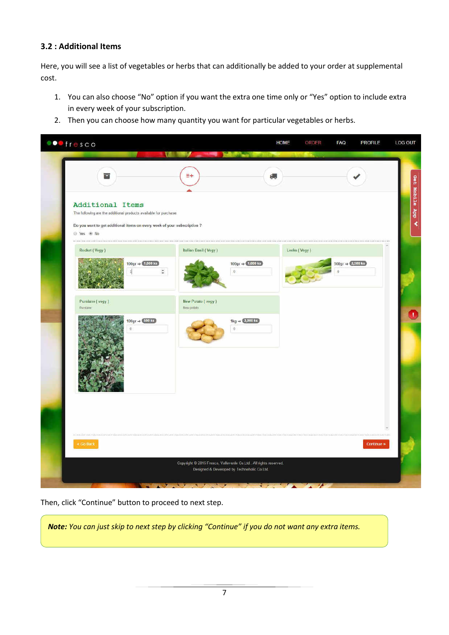#### 3.2 : Additional Items

Here, you will see a list of vegetables or herbs that can additionally be added to your order at supplemental cost.

- 1. You can also choose "No" option if you want the extra one time only or "Yes" option to include extra in every week of your subscription.
- 2. Then you can choose how many quantity you want for particular vegetables or herbs.

| <b>OD</b> fresco                                                                                                                                                                | <b>Contract Contract Contract Contract Contract</b><br><b>EQUIT</b>                                              | <b>HOME</b>                                      | ORDER<br><b>FAQ</b>                                                     | <b>LOG OUT</b><br><b>PROFILE</b> |
|---------------------------------------------------------------------------------------------------------------------------------------------------------------------------------|------------------------------------------------------------------------------------------------------------------|--------------------------------------------------|-------------------------------------------------------------------------|----------------------------------|
| 冒                                                                                                                                                                               | $E +$                                                                                                            | 繝                                                |                                                                         |                                  |
| Additional Items<br>The following are the additional products available for purchase.<br>Do you want to get additional items on every week of your subscription ?<br>© Yes ® No |                                                                                                                  |                                                  |                                                                         |                                  |
| Rocket (Vegy)                                                                                                                                                                   | Italian Basil (Vegy)                                                                                             | Leeks (Vegy)                                     |                                                                         |                                  |
| $100 \text{gr} \Rightarrow 4,000 \text{ ks}$<br>$\mathbb{1}$                                                                                                                    | $\ddot{\ddot{\ }}$                                                                                               | 100gr $\Rightarrow$ (1,000 ks)<br>$\overline{0}$ | $500 \text{gr} \Rightarrow \boxed{2,500 \text{ ks}}$<br>$\ddot{\Omega}$ |                                  |
| Purslane (vegy)<br>Purstane                                                                                                                                                     | New Potato (vegy)<br>New potato                                                                                  |                                                  |                                                                         |                                  |
| $100 \text{gr} \Rightarrow 600 \text{ ks}$<br>$\alpha$                                                                                                                          |                                                                                                                  | 1kg $\Rightarrow$ 2,000 ks)<br>$\mathbf 0$       |                                                                         |                                  |
| --------------                                                                                                                                                                  |                                                                                                                  |                                                  |                                                                         |                                  |
| * GO Back                                                                                                                                                                       |                                                                                                                  |                                                  |                                                                         | Continue »                       |
|                                                                                                                                                                                 | Copyright © 2016 Fresco, Valleverde Co.Ltd., All rights reserved.<br>Designed & Developed by Technololic Co.Ltd. |                                                  |                                                                         |                                  |
|                                                                                                                                                                                 |                                                                                                                  |                                                  | $\sim$ $\sim$                                                           |                                  |

Then, click "Continue" button to proceed to next step.

Note: You can just skip to next step by clicking "Continue" if you do not want any extra items.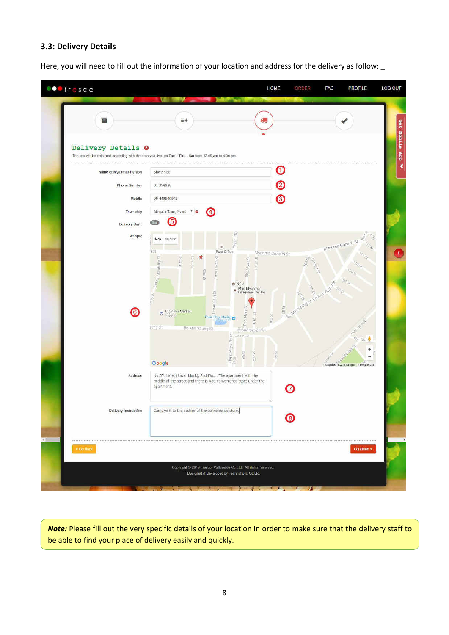#### **3.3: Delivery Details**

Here, you will need to fill out the information of your location and address for the delivery as follow: \_

| ▄                      | $#+$                                                                                                                                                                                                                                        |                                                                   |
|------------------------|---------------------------------------------------------------------------------------------------------------------------------------------------------------------------------------------------------------------------------------------|-------------------------------------------------------------------|
| Delivery Details O     | The box will be delivered according with the area you live, on Tue - Thu - Sat from 12.00 am to 4.30 pm.                                                                                                                                    |                                                                   |
| Name of Myanmar Person | Shwe Yee                                                                                                                                                                                                                                    | $\mathbf \Phi$                                                    |
| <b>Phone Number</b>    | 01 398928                                                                                                                                                                                                                                   | ℗                                                                 |
| Mobile                 | 09 448540945                                                                                                                                                                                                                                | ◙                                                                 |
| Township               | Mingalar Taung Nyurit V O<br>G)                                                                                                                                                                                                             |                                                                   |
| Delivery Day:          | ❺                                                                                                                                                                                                                                           |                                                                   |
| &nbps:                 | £<br>Satellite<br>Map<br>Thein<br>$\otimes$                                                                                                                                                                                                 | 89169<br>Myanma Gone Yi St                                        |
| $\bullet$              | 璯<br><sup>OWer Manifelay St</sup><br><b>AT PAGE</b><br>荡<br>91005<br>防<br>Phip Myay St<br>Lower 94th<br>TOTET <sub></sub><br>AS PARO<br><b>th</b> NGU<br>Moe Myanmar<br>Language Centre<br>9401 St<br>AS.G<br>ower<br>ō.<br>Theinbyu Market | <b>But of Bown</b><br>历四<br>BRIAIN                                |
|                        | Phot Myay<br><b>IDTBI</b> SI<br>Thein Phyu Market<br>rung St<br>Bo Min Yaung St<br>dosudromo cole<br>Them Phyu Road<br>95 St<br>900 pay<br>$\hat{\vec{a}}$<br>sig<br>S<br>Google                                                            | <b>02.St</b><br>(87)<br>贡民<br>Map data @2816 Google Terms of Lise |
| Address                | No.55, 101st (lower block), 2nd Floor. The apartment is in the<br>middle of the street and there is ABC convenience store under the<br>apartment.                                                                                           |                                                                   |
| Delivery Instruction   | Can give it to the cashier of the convenience store,                                                                                                                                                                                        | O                                                                 |
|                        |                                                                                                                                                                                                                                             |                                                                   |

*Note:* Please fill out the very specific details of your location in order to make sure that the delivery staff to be able to find your place of delivery easily and quickly.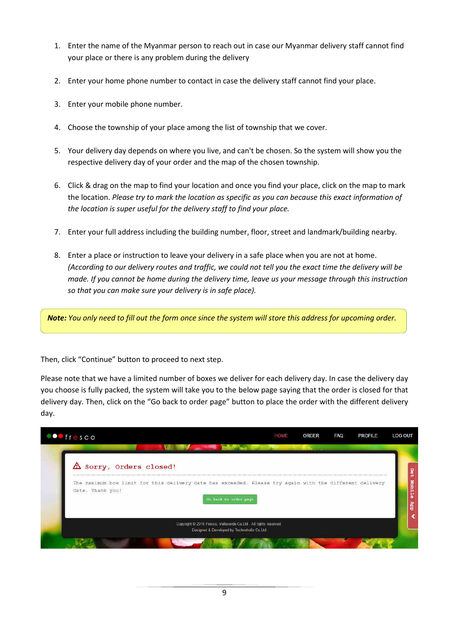- 1. Enter the name of the Myanmar person to reach out in case our Myanmar delivery staff cannot find your place or there is any problem during the delivery
- 2. Enter your home phone number to contact in case the delivery staff cannot find your place.
- 3. Enter your mobile phone number.
- 4. Choose the township of your place among the list of township that we cover.
- 5. Your delivery day depends on where you live, and can't be chosen. So the system will show you the respective delivery day of your order and the map of the chosen township.
- 6. Click & drag on the map to find your location and once you find your place, click on the map to mark the location. *Please try to mark the location as specific as you can because this exact information of the location is super useful for the delivery staff to find your place.*
- 7. Enter your full address including the building number, floor, street and landmark/building nearby.
- 8. Enter a place or instruction to leave your delivery in a safe place when you are not at home. *(According to our delivery routes and traffic, we could not tell you the exact time the delivery will be made. If you cannot be home during the delivery time, leave us your message through this instruction so that you can make sure your delivery is in safe place).*

*Note: You only need to fill out the form once since the system will store this address for upcoming order.* 

Then, click "Continue" button to proceed to next step.

Please note that we have a limited number of boxes we deliver for each delivery day. In case the delivery day you choose is fully packed, the system will take you to the below page saying that the order is closed for that delivery day. Then, click on the "Go back to order page" button to place the order with the different delivery day.

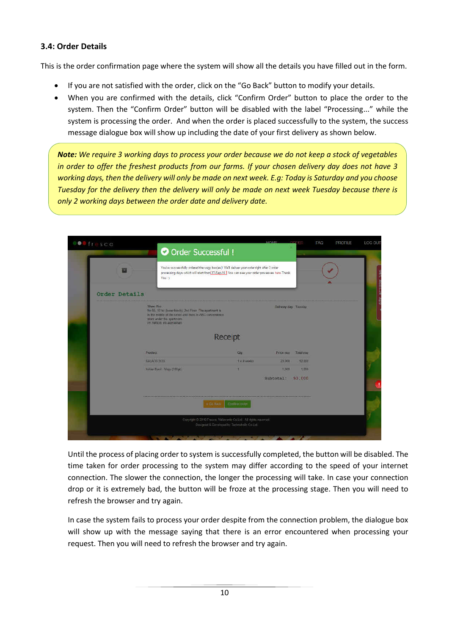#### **3.4: Order Details**

This is the order confirmation page where the system will show all the details you have filled out in the form.

- If you are not satisfied with the order, click on the "Go Back" button to modify your details.
- When you are confirmed with the details, click "Confirm Order" button to place the order to the system. Then the "Confirm Order" button will be disabled with the label "Processing..." while the system is processing the order. And when the order is placed successfully to the system, the success message dialogue box will show up including the date of your first delivery as shown below.

*Note: We require 3 working days to process your order because we do not keep a stock of vegetables in order to offer the freshest products from our farms. If your chosen delivery day does not have 3 working days, then the delivery will only be made on next week. E.g: Today is Saturday and you choose Tuesday for the delivery then the delivery will only be made on next week Tuesday because there is only 2 working days between the order date and delivery date.* 

|               | O Order Successful !                                                                                                                                                                                   |                           |            |                       |  |
|---------------|--------------------------------------------------------------------------------------------------------------------------------------------------------------------------------------------------------|---------------------------|------------|-----------------------|--|
| =             | You've successfully ordered the vegy box(es) We'll deliver your order right after 3 order<br>processing days which will start from 27-Sep-16 You can see your order processes here. Thank<br>$You.$ :) |                           |            |                       |  |
| Order Details |                                                                                                                                                                                                        |                           |            |                       |  |
|               | Shwn Year<br>No.55. 101st Rower Block). 2nd Floor. The apartment is<br>in the midde of the street and there is ABC convenience.<br>store under the apartment.<br>01 398320, OR 441540945               |                           |            | Dalivery day, Tuesday |  |
|               |                                                                                                                                                                                                        | Receipt                   |            |                       |  |
|               | Product                                                                                                                                                                                                | Qty                       | Price (Ks) | <b>Total</b> (Ka)     |  |
|               | SALADS BOX                                                                                                                                                                                             | <b>T a d weeks</b>        | 22000      | 92.000                |  |
|               | Italian Basil - Viny (100gr)                                                                                                                                                                           | л                         | 7,000      | 1,000                 |  |
|               |                                                                                                                                                                                                        |                           | Subtotal:  | 93,000                |  |
|               |                                                                                                                                                                                                        | * Go Bock   Confirm order |            |                       |  |
|               | Copyright @ 2010 Fresco, Valleyarda Co.1.td . All rights reserved.                                                                                                                                     |                           |            |                       |  |

Until the process of placing order to system is successfully completed, the button will be disabled. The time taken for order processing to the system may differ according to the speed of your internet connection. The slower the connection, the longer the processing will take. In case your connection drop or it is extremely bad, the button will be froze at the processing stage. Then you will need to refresh the browser and try again.

In case the system fails to process your order despite from the connection problem, the dialogue box will show up with the message saying that there is an error encountered when processing your request. Then you will need to refresh the browser and try again.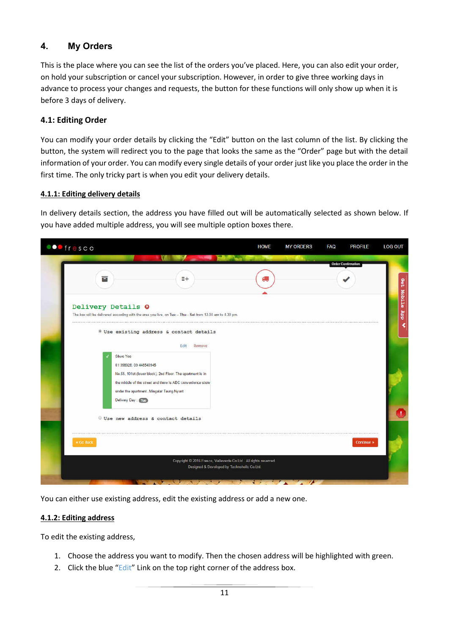#### $4.$ **My Orders**

This is the place where you can see the list of the orders you've placed. Here, you can also edit your order, on hold your subscription or cancel your subscription. However, in order to give three working days in advance to process your changes and requests, the button for these functions will only show up when it is before 3 days of delivery.

#### 4.1: Editing Order

You can modify your order details by clicking the "Edit" button on the last column of the list. By clicking the button, the system will redirect you to the page that looks the same as the "Order" page but with the detail information of your order. You can modify every single details of your order just like you place the order in the first time. The only tricky part is when you edit your delivery details.

#### 4.1.1: Editing delivery details

In delivery details section, the address you have filled out will be automatically selected as shown below. If you have added multiple address, you will see multiple option boxes there.



You can either use existing address, edit the existing address or add a new one.

#### 4.1.2: Editing address

To edit the existing address,

- 1. Choose the address you want to modify. Then the chosen address will be highlighted with green.
- 2. Click the blue "Edit" Link on the top right corner of the address box.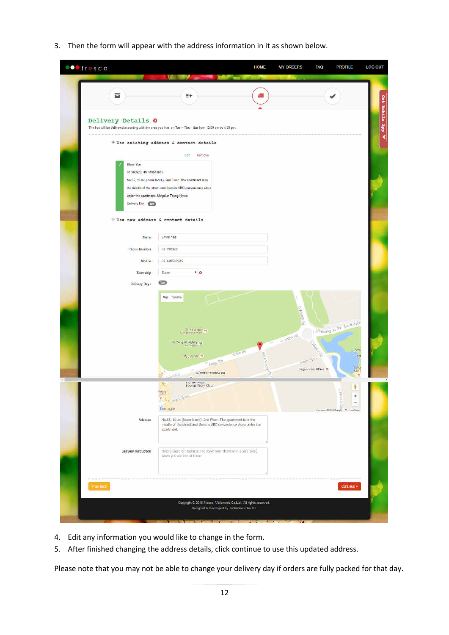3. Then the form will appear with the address information in it as shown below.

| a<br>$E +$<br>Delivery Details 0<br>The box will be delivered according with the area you live, on Tue - Thu - Sat from 12.00 am to 4.30 pm.<br>Use existing address & contact details<br>后山<br>Remove<br>Shwe Yee<br>01 398928, 09 448540945<br>No.55, 101st (lower block), 2nd Floor. The apartment is in<br>the middle of the street and there is ABC convenience store<br>under the apartment. Mingalar Taung Nyunt<br><b>Delivery Day</b> (Tue)<br>Use new address & contact details<br>Shwe Yee<br>Name<br>01 398928<br><b>Phone Number</b><br>Mobile<br>09 448540945<br>"<br>Dagon<br>Township<br>$\overline{u}$<br>Delivery Day:<br>Map Satellite<br>the electric Rd<br>Utraung Bo Ra Europe 2<br>The Yangon W<br>$=$ Ahlon Rd<br>The Yangon Gallery $\bigcirc$<br>C.Harper<br>Amu<br>Anker led<br>World KNS 1978<br>Shar<br>My Garden 11<br>Were designation<br>- Atylon Rd<br>Colo<br>Dagon Post Office @<br>Summit Parkview pw<br>Report Rd<br>Ħ<br>moneer Music<br>Lounge/Night Club<br>$\chi_{\rm c}$<br>ł<br>ibrary.<br>٠<br><b>H</b> Moderne<br>ORI BAR<br>$\overline{\phantom{0}}$<br>Google<br>Map data 62316 Google Terms of Use<br>No.55, 101st (lower block), 2nd Floor. The apartment is in the<br>Address<br>middle of the street and there is ABC convenience store under the<br>apartment.<br><b>Delivery Instruction</b><br>Note a place or instruction to leave your delivery in a safe place<br>when you are not at home.<br>Continue »<br>* Go Back<br>Copyright @ 2016 Fresco, Valleverde Co.Ltd. All rights reserved.<br>Designed & Developed by Technoholic Co.Ltd. | <b>OO</b> fresco | <b>TELESCOPE</b><br><b>Contract Contract Contract Contract</b> | <b>HOME</b> | <b>MY ORDERS</b><br>I AQ | <b>PROFILE</b><br><b>LOG OUT</b> |
|----------------------------------------------------------------------------------------------------------------------------------------------------------------------------------------------------------------------------------------------------------------------------------------------------------------------------------------------------------------------------------------------------------------------------------------------------------------------------------------------------------------------------------------------------------------------------------------------------------------------------------------------------------------------------------------------------------------------------------------------------------------------------------------------------------------------------------------------------------------------------------------------------------------------------------------------------------------------------------------------------------------------------------------------------------------------------------------------------------------------------------------------------------------------------------------------------------------------------------------------------------------------------------------------------------------------------------------------------------------------------------------------------------------------------------------------------------------------------------------------------------------------------------------------------------------------------------------------------|------------------|----------------------------------------------------------------|-------------|--------------------------|----------------------------------|
|                                                                                                                                                                                                                                                                                                                                                                                                                                                                                                                                                                                                                                                                                                                                                                                                                                                                                                                                                                                                                                                                                                                                                                                                                                                                                                                                                                                                                                                                                                                                                                                                    |                  |                                                                |             |                          |                                  |
|                                                                                                                                                                                                                                                                                                                                                                                                                                                                                                                                                                                                                                                                                                                                                                                                                                                                                                                                                                                                                                                                                                                                                                                                                                                                                                                                                                                                                                                                                                                                                                                                    |                  |                                                                |             |                          |                                  |
|                                                                                                                                                                                                                                                                                                                                                                                                                                                                                                                                                                                                                                                                                                                                                                                                                                                                                                                                                                                                                                                                                                                                                                                                                                                                                                                                                                                                                                                                                                                                                                                                    |                  |                                                                |             |                          |                                  |
|                                                                                                                                                                                                                                                                                                                                                                                                                                                                                                                                                                                                                                                                                                                                                                                                                                                                                                                                                                                                                                                                                                                                                                                                                                                                                                                                                                                                                                                                                                                                                                                                    |                  |                                                                |             |                          |                                  |
|                                                                                                                                                                                                                                                                                                                                                                                                                                                                                                                                                                                                                                                                                                                                                                                                                                                                                                                                                                                                                                                                                                                                                                                                                                                                                                                                                                                                                                                                                                                                                                                                    |                  |                                                                |             |                          |                                  |
|                                                                                                                                                                                                                                                                                                                                                                                                                                                                                                                                                                                                                                                                                                                                                                                                                                                                                                                                                                                                                                                                                                                                                                                                                                                                                                                                                                                                                                                                                                                                                                                                    |                  |                                                                |             |                          |                                  |
|                                                                                                                                                                                                                                                                                                                                                                                                                                                                                                                                                                                                                                                                                                                                                                                                                                                                                                                                                                                                                                                                                                                                                                                                                                                                                                                                                                                                                                                                                                                                                                                                    |                  |                                                                |             |                          |                                  |
|                                                                                                                                                                                                                                                                                                                                                                                                                                                                                                                                                                                                                                                                                                                                                                                                                                                                                                                                                                                                                                                                                                                                                                                                                                                                                                                                                                                                                                                                                                                                                                                                    |                  |                                                                |             |                          |                                  |
|                                                                                                                                                                                                                                                                                                                                                                                                                                                                                                                                                                                                                                                                                                                                                                                                                                                                                                                                                                                                                                                                                                                                                                                                                                                                                                                                                                                                                                                                                                                                                                                                    |                  |                                                                |             |                          |                                  |
|                                                                                                                                                                                                                                                                                                                                                                                                                                                                                                                                                                                                                                                                                                                                                                                                                                                                                                                                                                                                                                                                                                                                                                                                                                                                                                                                                                                                                                                                                                                                                                                                    |                  |                                                                |             |                          |                                  |
|                                                                                                                                                                                                                                                                                                                                                                                                                                                                                                                                                                                                                                                                                                                                                                                                                                                                                                                                                                                                                                                                                                                                                                                                                                                                                                                                                                                                                                                                                                                                                                                                    |                  |                                                                |             |                          |                                  |
|                                                                                                                                                                                                                                                                                                                                                                                                                                                                                                                                                                                                                                                                                                                                                                                                                                                                                                                                                                                                                                                                                                                                                                                                                                                                                                                                                                                                                                                                                                                                                                                                    |                  |                                                                |             |                          |                                  |
|                                                                                                                                                                                                                                                                                                                                                                                                                                                                                                                                                                                                                                                                                                                                                                                                                                                                                                                                                                                                                                                                                                                                                                                                                                                                                                                                                                                                                                                                                                                                                                                                    |                  |                                                                |             |                          |                                  |
|                                                                                                                                                                                                                                                                                                                                                                                                                                                                                                                                                                                                                                                                                                                                                                                                                                                                                                                                                                                                                                                                                                                                                                                                                                                                                                                                                                                                                                                                                                                                                                                                    |                  |                                                                |             |                          |                                  |
|                                                                                                                                                                                                                                                                                                                                                                                                                                                                                                                                                                                                                                                                                                                                                                                                                                                                                                                                                                                                                                                                                                                                                                                                                                                                                                                                                                                                                                                                                                                                                                                                    |                  |                                                                |             |                          |                                  |

- 4. Edit any information you would like to change in the form.
- 5. After finished changing the address details, click continue to use this updated address.

Please note that you may not be able to change your delivery day if orders are fully packed for that day.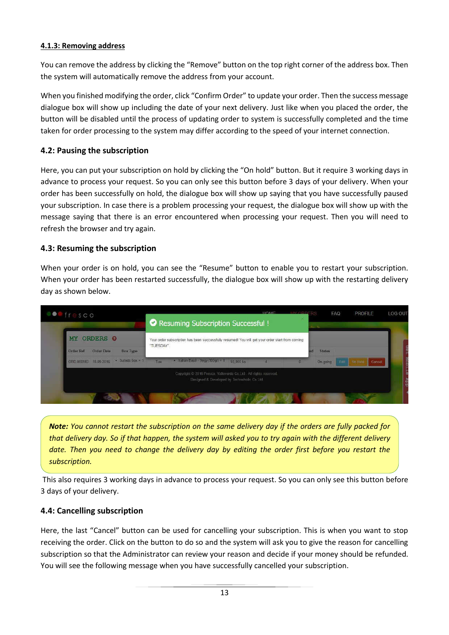#### **4.1.3: Removing address**

You can remove the address by clicking the "Remove" button on the top right corner of the address box. Then the system will automatically remove the address from your account.

When you finished modifying the order, click "Confirm Order" to update your order. Then the success message dialogue box will show up including the date of your next delivery. Just like when you placed the order, the button will be disabled until the process of updating order to system is successfully completed and the time taken for order processing to the system may differ according to the speed of your internet connection.

#### **4.2: Pausing the subscription**

Here, you can put your subscription on hold by clicking the "On hold" button. But it require 3 working days in advance to process your request. So you can only see this button before 3 days of your delivery. When your order has been successfully on hold, the dialogue box will show up saying that you have successfully paused your subscription. In case there is a problem processing your request, the dialogue box will show up with the message saying that there is an error encountered when processing your request. Then you will need to refresh the browser and try again.

#### **4.3: Resuming the subscription**

When your order is on hold, you can see the "Resume" button to enable you to restart your subscription. When your order has been restarted successfully, the dialogue box will show up with the restarting delivery day as shown below.

|                                                          | Resuming Subscription Successful !                                                                             |                                                                                                                      |            |  |               |                          |        |
|----------------------------------------------------------|----------------------------------------------------------------------------------------------------------------|----------------------------------------------------------------------------------------------------------------------|------------|--|---------------|--------------------------|--------|
| ORDERS @<br>MY.                                          | Your order subscription has been successfully resumed! You will get your order start from coming<br>"TUESDAY". |                                                                                                                      |            |  |               |                          |        |
| <b>Order Ref</b><br><b>Order Date</b><br><b>Box Type</b> |                                                                                                                |                                                                                                                      |            |  | <b>Status</b> |                          |        |
| $\cdot$ Salads box $\times$ 1<br>ORD-000183 18-09-2016   | Tue:                                                                                                           | - Hallan Basil - Visy (100gr) - 1                                                                                    | 93,000 ks: |  | Cin-going     | <b>Can Mont-</b><br>Fell | Cancel |
|                                                          |                                                                                                                | Copyright C 2016 Fresco, Valleverde Co.Ltd., All rights reserved.<br>Elestgrand & Developed by Technolicitic Co.11d. |            |  |               |                          |        |

*Note: You cannot restart the subscription on the same delivery day if the orders are fully packed for that delivery day. So if that happen, the system will asked you to try again with the different delivery date. Then you need to change the delivery day by editing the order first before you restart the subscription.* 

 This also requires 3 working days in advance to process your request. So you can only see this button before 3 days of your delivery.

#### **4.4: Cancelling subscription**

Here, the last "Cancel" button can be used for cancelling your subscription. This is when you want to stop receiving the order. Click on the button to do so and the system will ask you to give the reason for cancelling subscription so that the Administrator can review your reason and decide if your money should be refunded. You will see the following message when you have successfully cancelled your subscription.